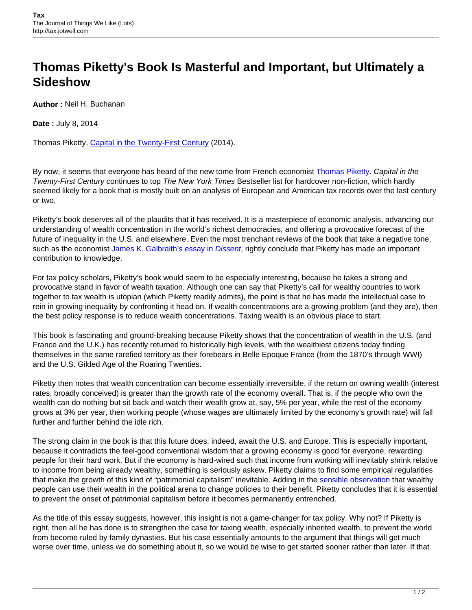## **Thomas Piketty's Book Is Masterful and Important, but Ultimately a Sideshow**

**Author :** Neil H. Buchanan

**Date :** July 8, 2014

Thomas Piketty, [Capital in the Twenty-First Century](http://www.hup.harvard.edu/catalog.php?isbn=9780674430006) (2014).

By now, it seems that everyone has heard of the new tome from French economist [Thomas Piketty](http://piketty.pse.ens.fr/en/cv-en). Capital in the Twenty-First Century continues to top The New York Times Bestseller list for hardcover non-fiction, which hardly seemed likely for a book that is mostly built on an analysis of European and American tax records over the last century or two.

Piketty's book deserves all of the plaudits that it has received. It is a masterpiece of economic analysis, advancing our understanding of wealth concentration in the world's richest democracies, and offering a provocative forecast of the future of inequality in the U.S. and elsewhere. Even the most trenchant reviews of the book that take a negative tone, such as the economist [James K. Galbraith's essay in](http://www.dissentmagazine.org/article/kapital-for-the-twenty-first-century) [Dissent](http://www.dissentmagazine.org/article/kapital-for-the-twenty-first-century), rightly conclude that Piketty has made an important contribution to knowledge.

For tax policy scholars, Piketty's book would seem to be especially interesting, because he takes a strong and provocative stand in favor of wealth taxation. Although one can say that Piketty's call for wealthy countries to work together to tax wealth is utopian (which Piketty readily admits), the point is that he has made the intellectual case to rein in growing inequality by confronting it head on. If wealth concentrations are a growing problem (and they are), then the best policy response is to reduce wealth concentrations. Taxing wealth is an obvious place to start.

This book is fascinating and ground-breaking because Piketty shows that the concentration of wealth in the U.S. (and France and the U.K.) has recently returned to historically high levels, with the wealthiest citizens today finding themselves in the same rarefied territory as their forebears in Belle Epoque France (from the 1870's through WWI) and the U.S. Gilded Age of the Roaring Twenties.

Piketty then notes that wealth concentration can become essentially irreversible, if the return on owning wealth (interest rates, broadly conceived) is greater than the growth rate of the economy overall. That is, if the people who own the wealth can do nothing but sit back and watch their wealth grow at, say, 5% per year, while the rest of the economy grows at 3% per year, then working people (whose wages are ultimately limited by the economy's growth rate) will fall further and further behind the idle rich.

The strong claim in the book is that this future does, indeed, await the U.S. and Europe. This is especially important, because it contradicts the feel-good conventional wisdom that a growing economy is good for everyone, rewarding people for their hard work. But if the economy is hard-wired such that income from working will inevitably shrink relative to income from being already wealthy, something is seriously askew. Piketty claims to find some empirical regularities that make the growth of this kind of "patrimonial capitalism" inevitable. Adding in the [sensible observation](http://tax.jotwell.com/should-we-tax-the-rich-or-leave-them-alone/) that wealthy people can use their wealth in the political arena to change policies to their benefit, Piketty concludes that it is essential to prevent the onset of patrimonial capitalism before it becomes permanently entrenched.

As the title of this essay suggests, however, this insight is not a game-changer for tax policy. Why not? If Piketty is right, then all he has done is to strengthen the case for taxing wealth, especially inherited wealth, to prevent the world from become ruled by family dynasties. But his case essentially amounts to the argument that things will get much worse over time, unless we do something about it, so we would be wise to get started sooner rather than later. If that